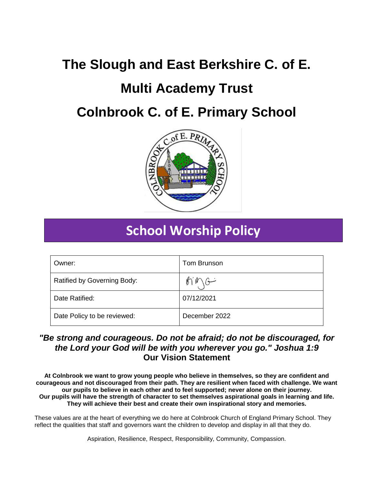# **The Slough and East Berkshire C. of E.**

# **Multi Academy Trust**

# **Colnbrook C. of E. Primary School**



# **School Worship Policy**

| Owner:                      | Tom Brunson   |
|-----------------------------|---------------|
| Ratified by Governing Body: | خسى           |
| Date Ratified:              | 07/12/2021    |
| Date Policy to be reviewed: | December 2022 |

# *"Be strong and courageous. Do not be afraid; do not be discouraged, for the Lord your God will be with you wherever you go." Joshua 1:9* **Our Vision Statement**

**At Colnbrook we want to grow young people who believe in themselves, so they are confident and courageous and not discouraged from their path. They are resilient when faced with challenge. We want our pupils to believe in each other and to feel supported; never alone on their journey. Our pupils will have the strength of character to set themselves aspirational goals in learning and life. They will achieve their best and create their own inspirational story and memories.**

These values are at the heart of everything we do here at Colnbrook Church of England Primary School. They reflect the qualities that staff and governors want the children to develop and display in all that they do.

Aspiration, Resilience, Respect, Responsibility, Community, Compassion.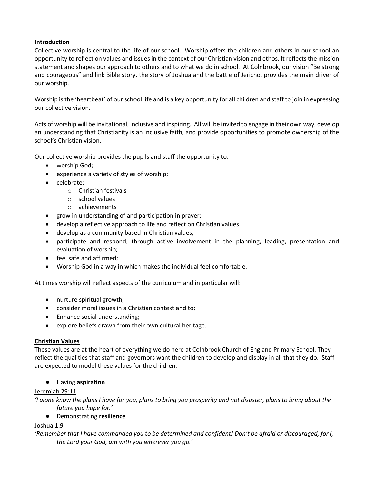#### **Introduction**

Collective worship is central to the life of our school. Worship offers the children and others in our school an opportunity to reflect on values and issues in the context of our Christian vision and ethos. It reflects the mission statement and shapes our approach to others and to what we do in school. At Colnbrook, our vision "Be strong and courageous" and link Bible story, the story of Joshua and the battle of Jericho, provides the main driver of our worship.

Worship is the 'heartbeat' of our school life and is a key opportunity for all children and staff to join in expressing our collective vision.

Acts of worship will be invitational, inclusive and inspiring. All will be invited to engage in their own way, develop an understanding that Christianity is an inclusive faith, and provide opportunities to promote ownership of the school's Christian vision.

Our collective worship provides the pupils and staff the opportunity to:

- worship God;
- experience a variety of styles of worship;
- celebrate:
	- o Christian festivals
	- o school values
	- o achievements
- grow in understanding of and participation in prayer;
- develop a reflective approach to life and reflect on Christian values
- develop as a community based in Christian values;
- participate and respond, through active involvement in the planning, leading, presentation and evaluation of worship;
- feel safe and affirmed;
- Worship God in a way in which makes the individual feel comfortable.

At times worship will reflect aspects of the curriculum and in particular will:

- nurture spiritual growth;
- consider moral issues in a Christian context and to;
- Enhance social understanding;
- explore beliefs drawn from their own cultural heritage.

#### **Christian Values**

These values are at the heart of everything we do here at Colnbrook Church of England Primary School. They reflect the qualities that staff and governors want the children to develop and display in all that they do. Staff are expected to model these values for the children.

#### ● Having **aspiration**

#### Jeremiah 29:11

*'I alone know the plans I have for you, plans to bring you prosperity and not disaster, plans to bring about the future you hope for.'*

● Demonstrating **resilience**

#### Joshua 1:9

*'Remember that I have commanded you to be determined and confident! Don't be afraid or discouraged, for I, the Lord your God, am with you wherever you go.'*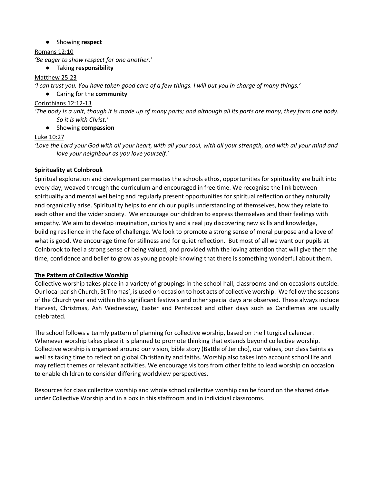### ● Showing **respect**

Romans 12:10

*'Be eager to show respect for one another.'*

## ● Taking **responsibility**

#### Matthew 25:23

*'I can trust you. You have taken good care of a few things. I will put you in charge of many things.'*

### ● Caring for the **community**

#### Corinthians 12:12-13

*'The body is a unit, though it is made up of many parts; and although all its parts are many, they form one body. So it is with Christ.'*

#### ● Showing **compassion**

### Luke 10:27

*'Love the Lord your God with all your heart, with all your soul, with all your strength, and with all your mind and love your neighbour as you love yourself.'*

### **Spirituality at Colnbrook**

Spiritual exploration and development permeates the schools ethos, opportunities for spirituality are built into every day, weaved through the curriculum and encouraged in free time. We recognise the link between spirituality and mental wellbeing and regularly present opportunities for spiritual reflection or they naturally and organically arise. Spirituality helps to enrich our pupils understanding of themselves, how they relate to each other and the wider society. We encourage our children to express themselves and their feelings with empathy. We aim to develop imagination, curiosity and a real joy discovering new skills and knowledge, building resilience in the face of challenge. We look to promote a strong sense of moral purpose and a love of what is good. We encourage time for stillness and for quiet reflection. But most of all we want our pupils at Colnbrook to feel a strong sense of being valued, and provided with the loving attention that will give them the time, confidence and belief to grow as young people knowing that there is something wonderful about them.

#### **The Pattern of Collective Worship**

Collective worship takes place in a variety of groupings in the school hall, classrooms and on occasions outside. Our local parish Church, St Thomas', is used on occasion to host acts of collective worship. We follow the seasons of the Church year and within this significant festivals and other special days are observed. These always include Harvest, Christmas, Ash Wednesday, Easter and Pentecost and other days such as Candlemas are usually celebrated.

The school follows a termly pattern of planning for collective worship, based on the liturgical calendar. Whenever worship takes place it is planned to promote thinking that extends beyond collective worship. Collective worship is organised around our vision, bible story (Battle of Jericho), our values, our class Saints as well as taking time to reflect on global Christianity and faiths. Worship also takes into account school life and may reflect themes or relevant activities. We encourage visitors from other faiths to lead worship on occasion to enable children to consider differing worldview perspectives.

Resources for class collective worship and whole school collective worship can be found on the shared drive under Collective Worship and in a box in this staffroom and in individual classrooms.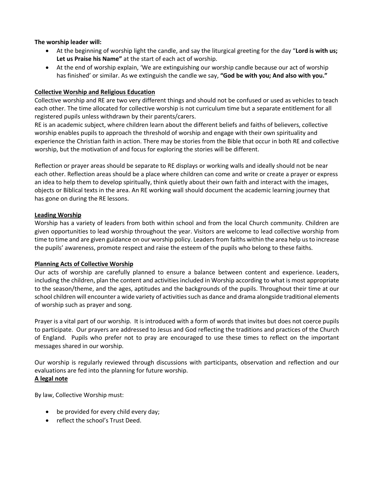#### **The worship leader will:**

- At the beginning of worship light the candle, and say the liturgical greeting for the day "**Lord is with us; Let us Praise his Name"** at the start of each act of worship.
- At the end of worship explain, 'We are extinguishing our worship candle because our act of worship has finished' or similar. As we extinguish the candle we say, **"God be with you; And also with you."**

### **Collective Worship and Religious Education**

Collective worship and RE are two very different things and should not be confused or used as vehicles to teach each other. The time allocated for collective worship is not curriculum time but a separate entitlement for all registered pupils unless withdrawn by their parents/carers.

RE is an academic subject, where children learn about the different beliefs and faiths of believers, collective worship enables pupils to approach the threshold of worship and engage with their own spirituality and experience the Christian faith in action. There may be stories from the Bible that occur in both RE and collective worship, but the motivation of and focus for exploring the stories will be different.

Reflection or prayer areas should be separate to RE displays or working walls and ideally should not be near each other. Reflection areas should be a place where children can come and write or create a prayer or express an idea to help them to develop spiritually, think quietly about their own faith and interact with the images, objects or Biblical texts in the area. An RE working wall should document the academic learning journey that has gone on during the RE lessons.

#### **Leading Worship**

Worship has a variety of leaders from both within school and from the local Church community. Children are given opportunities to lead worship throughout the year. Visitors are welcome to lead collective worship from time to time and are given guidance on our worship policy. Leaders from faiths within the area help us to increase the pupils' awareness, promote respect and raise the esteem of the pupils who belong to these faiths.

#### **Planning Acts of Collective Worship**

Our acts of worship are carefully planned to ensure a balance between content and experience. Leaders, including the children, plan the content and activities included in Worship according to what is most appropriate to the season/theme, and the ages, aptitudes and the backgrounds of the pupils. Throughout their time at our school children will encounter a wide variety of activities such as dance and drama alongside traditional elements of worship such as prayer and song.

Prayer is a vital part of our worship. It is introduced with a form of words that invites but does not coerce pupils to participate. Our prayers are addressed to Jesus and God reflecting the traditions and practices of the Church of England. Pupils who prefer not to pray are encouraged to use these times to reflect on the important messages shared in our worship.

Our worship is regularly reviewed through discussions with participants, observation and reflection and our evaluations are fed into the planning for future worship.

#### **A legal note**

By law, Collective Worship must:

- be provided for every child every day;
- reflect the school's Trust Deed.